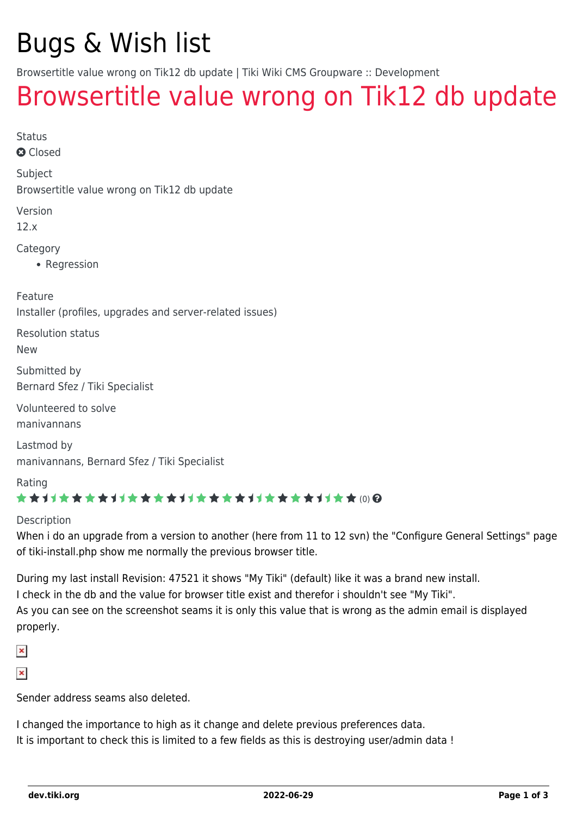# Bugs & Wish list

Browsertitle value wrong on Tik12 db update | Tiki Wiki CMS Groupware :: Development

## [Browsertitle value wrong on Tik12 db update](https://dev.tiki.org/item4755-Browsertitle-value-wrong-on-Tik12-db-update)

Status

**a** Closed

Subject

Browsertitle value wrong on Tik12 db update

Version

12.x

Category

• Regression

Feature

Installer (profiles, upgrades and server-related issues)

Resolution status

New

Submitted by Bernard Sfez / Tiki Specialist

Volunteered to solve manivannans

Lastmod by manivannans, Bernard Sfez / Tiki Specialist

Rating

#### \*\*\*\*\*\*\*\*\*\*\*\*\*\*\*\*\*\*\*\*\*\*\*\*\*\*\*\*\*\*

#### Description

When i do an upgrade from a version to another (here from 11 to 12 svn) the "Configure General Settings" page of tiki-install.php show me normally the previous browser title.

During my last install Revision: 47521 it shows "My Tiki" (default) like it was a brand new install. I check in the db and the value for browser title exist and therefor i shouldn't see "My Tiki". As you can see on the screenshot seams it is only this value that is wrong as the admin email is displayed properly.

 $\pmb{\times}$ 

 $\pmb{\times}$ 

Sender address seams also deleted.

I changed the importance to high as it change and delete previous preferences data. It is important to check this is limited to a few fields as this is destroying user/admin data !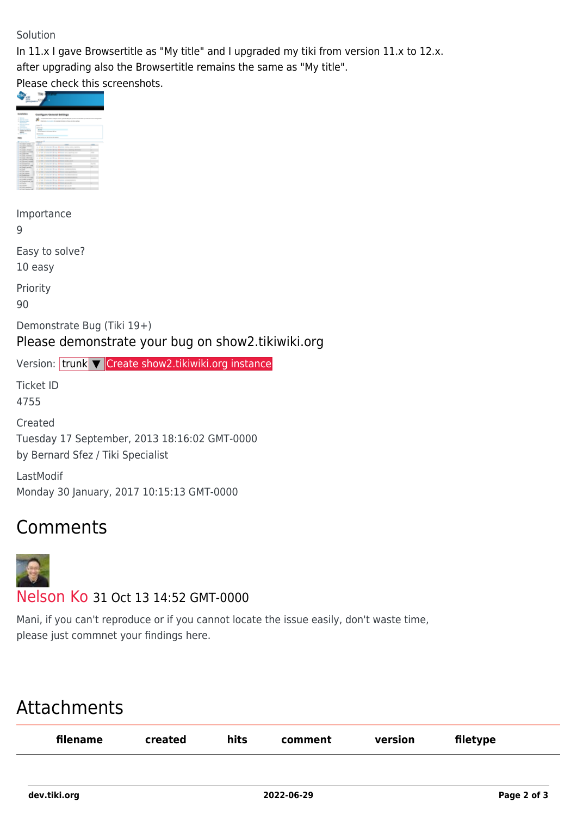#### Solution

In 11.x I gave Browsertitle as "My title" and I upgraded my tiki from version 11.x to 12.x.

after upgrading also the Browsertitle remains the same as "My title".

Please check this screenshots.

| m<br>. .<br>tiper (P)                                                                                                                              |                                                            |                                                                                                |  |  |  |  |  |
|----------------------------------------------------------------------------------------------------------------------------------------------------|------------------------------------------------------------|------------------------------------------------------------------------------------------------|--|--|--|--|--|
|                                                                                                                                                    |                                                            |                                                                                                |  |  |  |  |  |
|                                                                                                                                                    | <b>Score Onnerst Settings</b>                              |                                                                                                |  |  |  |  |  |
| <b>There</b><br><b>STATISTICS</b><br>-----<br>$\sim$                                                                                               | <b>CONTRACTORS</b><br>I want the fundamental and the after |                                                                                                |  |  |  |  |  |
| or witness company<br><b>STATISTICS</b>                                                                                                            | <b>County</b>                                              |                                                                                                |  |  |  |  |  |
| <b>STATISTICS</b><br><b>Si Source Car</b>                                                                                                          | $\sim$                                                     |                                                                                                |  |  |  |  |  |
| 1. General Architects<br>$\frac{1}{2} \left( \frac{1}{2} \right) \left( \frac{1}{2} \right) \left( \frac{1}{2} \right) \left( \frac{1}{2} \right)$ | <b>SCIENT</b><br>The advanced to the party day and         |                                                                                                |  |  |  |  |  |
| or particular                                                                                                                                      | <b>STATISTICS</b>                                          |                                                                                                |  |  |  |  |  |
|                                                                                                                                                    | sings performed and states are expect-                     |                                                                                                |  |  |  |  |  |
|                                                                                                                                                    | ---<br>----                                                |                                                                                                |  |  |  |  |  |
| <b>Collective</b><br><b>CHEMICAL COMPOS</b>                                                                                                        | Ŀ                                                          |                                                                                                |  |  |  |  |  |
| <b>CONTRACTOR</b>                                                                                                                                  | a plan planned plan denta and can open.                    | ÷                                                                                              |  |  |  |  |  |
| The course of course.                                                                                                                              | " of the character for an interest was reason and          |                                                                                                |  |  |  |  |  |
| Link Light Council                                                                                                                                 | 1 July 2 should \$1 on \$1000 are unline out               |                                                                                                |  |  |  |  |  |
| <b>CONTRACTOR</b><br>and your factories.                                                                                                           | To private Characters Brown Britt                          |                                                                                                |  |  |  |  |  |
| <b><i>Charles College Ave.</i></b>                                                                                                                 | a plan planning \$1.00 dealers warrant-                    | $\frac{1}{2} \left( \frac{1}{2} \right) \left( \frac{1}{2} \right) \left( \frac{1}{2} \right)$ |  |  |  |  |  |
| Links payment and                                                                                                                                  | The last character by<br>and the factory country securi-   |                                                                                                |  |  |  |  |  |
| <b>CONTRACTOR</b><br><b>School</b>                                                                                                                 | 1 A.M. Colorado Brant Managements                          |                                                                                                |  |  |  |  |  |
| Company and Constitution of the                                                                                                                    |                                                            | $\sim$                                                                                         |  |  |  |  |  |
| <b>CAR AND ARREST</b>                                                                                                                              | - Joe American Broad Monter of Lincoln                     |                                                                                                |  |  |  |  |  |
| <b>Contract</b>                                                                                                                                    | a show their state from dealers an<br>----                 |                                                                                                |  |  |  |  |  |
| Lindah men<br>Link of Links                                                                                                                        | " of his chalacter forms in being managed about            |                                                                                                |  |  |  |  |  |
| the position and                                                                                                                                   | 1.2.00 Autumn Eliza Eliza Andreaniana                      |                                                                                                |  |  |  |  |  |
| <b>Charles Avenue</b>                                                                                                                              | Products changing through the statements                   |                                                                                                |  |  |  |  |  |
| L'étuville contre                                                                                                                                  | a Jon Jones Pop Jone comment                               |                                                                                                |  |  |  |  |  |
| <b>CALCULATION AND</b>                                                                                                                             | of his chalacter firms in hour at you're                   |                                                                                                |  |  |  |  |  |
| <b>College College</b><br><b>CONSUMER</b>                                                                                                          | to the state of the advertising to                         |                                                                                                |  |  |  |  |  |
| <b>CAR HELD BREEZE</b>                                                                                                                             |                                                            |                                                                                                |  |  |  |  |  |
| <b>Construction</b>                                                                                                                                | Are American broad provided and op-                        |                                                                                                |  |  |  |  |  |
|                                                                                                                                                    |                                                            |                                                                                                |  |  |  |  |  |

Importance

9

Easy to solve?

10 easy

Priority

90

Demonstrate Bug (Tiki 19+)

Please demonstrate your bug on show2.tikiwiki.org

Version: trunk ▼ [Create show2.tikiwiki.org instance](#page--1-0)

Ticket ID 4755

Created Tuesday 17 September, 2013 18:16:02 GMT-0000 by Bernard Sfez / Tiki Specialist

LastModif Monday 30 January, 2017 10:15:13 GMT-0000

## Comments



### [Nelson Ko](https://dev.tiki.org/user9801) 31 Oct 13 14:52 GMT-0000

Mani, if you can't reproduce or if you cannot locate the issue easily, don't waste time, please just commnet your findings here.

### Attachments

| filename | created | hits | comment | version | filetype |
|----------|---------|------|---------|---------|----------|
|          |         |      |         |         |          |